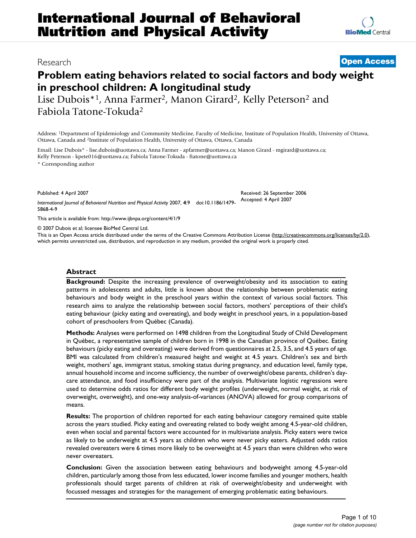## Research **[Open Access](http://www.biomedcentral.com/info/about/charter/)**

# **Problem eating behaviors related to social factors and body weight in preschool children: A longitudinal study**

Lise Dubois\*<sup>1</sup>, Anna Farmer<sup>2</sup>, Manon Girard<sup>2</sup>, Kelly Peterson<sup>2</sup> and Fabiola Tatone-Tokuda2

Address: 1Department of Epidemiology and Community Medicine, Faculty of Medicine, Institute of Population Health, University of Ottawa, Ottawa, Canada and 2Institute of Population Health, University of Ottawa, Ottawa, Canada

Email: Lise Dubois\* - lise.dubois@uottawa.ca; Anna Farmer - apfarmer@uottawa.ca; Manon Girard - mgirard@uottawa.ca; Kelly Peterson - kpete016@uottawa.ca; Fabiola Tatone-Tokuda - ftatone@uottawa.ca \* Corresponding author

Published: 4 April 2007

*International Journal of Behavioral Nutrition and Physical Activity* 2007, **4**:9 doi:10.1186/1479- 5868-4-9

[This article is available from: http://www.ijbnpa.org/content/4/1/9](http://www.ijbnpa.org/content/4/1/9)

© 2007 Dubois et al; licensee BioMed Central Ltd.

This is an Open Access article distributed under the terms of the Creative Commons Attribution License [\(http://creativecommons.org/licenses/by/2.0\)](http://creativecommons.org/licenses/by/2.0), which permits unrestricted use, distribution, and reproduction in any medium, provided the original work is properly cited.

#### **Abstract**

**Background:** Despite the increasing prevalence of overweight/obesity and its association to eating patterns in adolescents and adults, little is known about the relationship between problematic eating behaviours and body weight in the preschool years within the context of various social factors. This research aims to analyze the relationship between social factors, mothers' perceptions of their child's eating behaviour (picky eating and overeating), and body weight in preschool years, in a population-based cohort of preschoolers from Québec (Canada).

**Methods:** Analyses were performed on 1498 children from the Longitudinal Study of Child Development in Québec, a representative sample of children born in 1998 in the Canadian province of Québec. Eating behaviours (picky eating and overeating) were derived from questionnaires at 2.5, 3.5, and 4.5 years of age. BMI was calculated from children's measured height and weight at 4.5 years. Children's sex and birth weight, mothers' age, immigrant status, smoking status during pregnancy, and education level, family type, annual household income and income sufficiency, the number of overweight/obese parents, children's daycare attendance, and food insufficiency were part of the analysis. Multivariate logistic regressions were used to determine odds ratios for different body weight profiles (underweight, normal weight, at risk of overweight, overweight), and one-way analysis-of-variances (ANOVA) allowed for group comparisons of means.

**Results:** The proportion of children reported for each eating behaviour category remained quite stable across the years studied. Picky eating and overeating related to body weight among 4.5-year-old children, even when social and parental factors were accounted for in multivariate analysis. Picky eaters were twice as likely to be underweight at 4.5 years as children who were never picky eaters. Adjusted odds ratios revealed overeaters were 6 times more likely to be overweight at 4.5 years than were children who were never overeaters.

**Conclusion:** Given the association between eating behaviours and bodyweight among 4.5-year-old children, particularly among those from less educated, lower income families and younger mothers, health professionals should target parents of children at risk of overweight/obesity and underweight with focussed messages and strategies for the management of emerging problematic eating behaviours.

Received: 26 September 2006 Accepted: 4 April 2007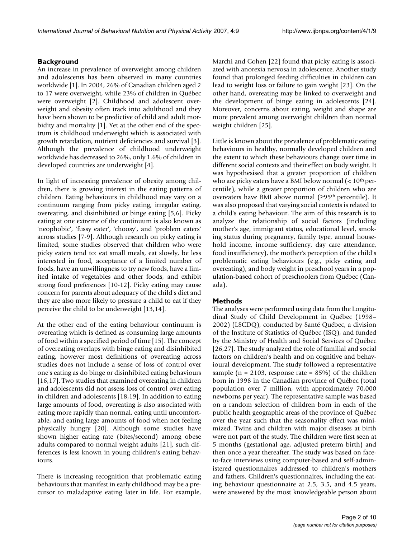## **Background**

An increase in prevalence of overweight among children and adolescents has been observed in many countries worldwide [1]. In 2004, 26% of Canadian children aged 2 to 17 were overweight, while 23% of children in Québec were overweight [2]. Childhood and adolescent overweight and obesity often track into adulthood and they have been shown to be predictive of child and adult morbidity and mortality [1]. Yet at the other end of the spectrum is childhood underweight which is associated with growth retardation, nutrient deficiencies and survival [3]. Although the prevalence of childhood underweight worldwide has decreased to 26%, only 1.6% of children in developed countries are underweight [4].

In light of increasing prevalence of obesity among children, there is growing interest in the eating patterns of children. Eating behaviours in childhood may vary on a continuum ranging from picky eating, irregular eating, overeating, and disinhibited or binge eating [5,6]. Picky eating at one extreme of the continuum is also known as 'neophobic', 'fussy eater', 'choosy', and 'problem eaters' across studies [7-9]. Although research on picky eating is limited, some studies observed that children who were picky eaters tend to: eat small meals, eat slowly, be less interested in food, acceptance of a limited number of foods, have an unwillingness to try new foods, have a limited intake of vegetables and other foods, and exhibit strong food preferences [10-12]. Picky eating may cause concern for parents about adequacy of the child's diet and they are also more likely to pressure a child to eat if they perceive the child to be underweight [13,14].

At the other end of the eating behaviour continuum is overeating which is defined as consuming large amounts of food within a specified period of time [15]. The concept of overeating overlaps with binge eating and disinhibited eating, however most definitions of overeating across studies does not include a sense of loss of control over one's eating as do binge or disinhibited eating behaviours [16,17]. Two studies that examined overeating in children and adolescents did not assess loss of control over eating in children and adolescents [18,19]. In addition to eating large amounts of food, overeating is also associated with eating more rapidly than normal, eating until uncomfortable, and eating large amounts of food when not feeling physically hungry [20]. Although some studies have shown higher eating rate (bites/second) among obese adults compared to normal weight adults [21], such differences is less known in young children's eating behaviours.

There is increasing recognition that problematic eating behaviours that manifest in early childhood may be a precursor to maladaptive eating later in life. For example,

Marchi and Cohen [22] found that picky eating is associated with anorexia nervosa in adolescence. Another study found that prolonged feeding difficulties in children can lead to weight loss or failure to gain weight [23]. On the other hand, overeating may be linked to overweight and the development of binge eating in adolescents [24]. Moreover, concerns about eating, weight and shape are more prevalent among overweight children than normal weight children [25].

Little is known about the prevalence of problematic eating behaviours in healthy, normally developed children and the extent to which these behaviours change over time in different social contexts and their effect on body weight. It was hypothesised that a greater proportion of children who are picky eaters have a BMI below normal (< 10<sup>th</sup> percentile), while a greater proportion of children who are overeaters have BMI above normal (≥95th percentile). It was also proposed that varying social contexts is related to a child's eating behaviour. The aim of this research is to analyze the relationship of social factors (including mother's age, immigrant status, educational level, smoking status during pregnancy, family type, annual household income, income sufficiency, day care attendance, food insufficiency), the mother's perception of the child's problematic eating behaviours (e.g., picky eating and overeating), and body weight in preschool years in a population-based cohort of preschoolers from Québec (Canada).

## **Methods**

The analyses were performed using data from the Longitudinal Study of Child Development in Québec (1998– 2002) (LSCDQ), conducted by Santé Québec, a division of the Institute of Statistics of Québec (ISQ), and funded by the Ministry of Health and Social Services of Québec [26,27]. The study analyzed the role of familial and social factors on children's health and on cognitive and behavioural development. The study followed a representative sample ( $n = 2103$ , response rate = 85%) of the children born in 1998 in the Canadian province of Québec (total population over 7 million, with approximately 70,000 newborns per year). The representative sample was based on a random selection of children born in each of the public health geographic areas of the province of Québec over the year such that the seasonality effect was minimized. Twins and children with major diseases at birth were not part of the study. The children were first seen at 5 months (gestational age, adjusted preterm birth) and then once a year thereafter. The study was based on faceto-face interviews using computer-based and self-administered questionnaires addressed to children's mothers and fathers. Children's questionnaires, including the eating behaviour questionnaire at 2.5, 3.5, and 4.5 years, were answered by the most knowledgeable person about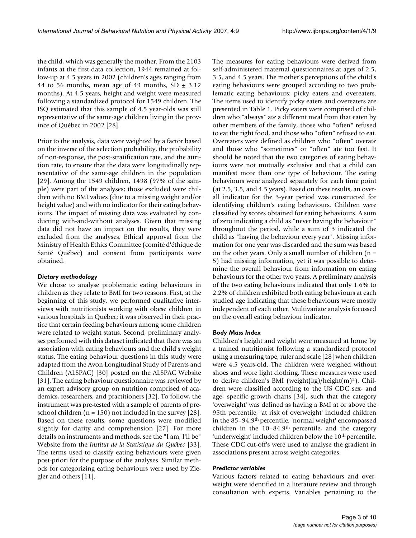the child, which was generally the mother. From the 2103 infants at the first data collection, 1944 remained at follow-up at 4.5 years in 2002 (children's ages ranging from 44 to 56 months, mean age of 49 months,  $SD \pm 3.12$ months). At 4.5 years, height and weight were measured following a standardized protocol for 1549 children. The ISQ estimated that this sample of 4.5 year-olds was still representative of the same-age children living in the province of Québec in 2002 [28].

Prior to the analysis, data were weighted by a factor based on the inverse of the selection probability, the probability of non-response, the post-stratification rate, and the attrition rate, to ensure that the data were longitudinally representative of the same-age children in the population [29]. Among the 1549 children, 1498 (97% of the sample) were part of the analyses; those excluded were children with no BMI values (due to a missing weight and/or height value) and with no indicator for their eating behaviours. The impact of missing data was evaluated by conducting with-and-without analyses. Given that missing data did not have an impact on the results, they were excluded from the analyses. Ethical approval from the Ministry of Health Ethics Committee (comité d'éthique de Santé Québec) and consent from participants were obtained.

#### *Dietary methodology*

We chose to analyse problematic eating behaviours in children as they relate to BMI for two reasons. First, at the beginning of this study, we performed qualitative interviews with nutritionists working with obese children in various hospitals in Québec; it was observed in their practice that certain feeding behaviours among some children were related to weight status. Second, preliminary analyses performed with this dataset indicated that there was an association with eating behaviours and the child's weight status. The eating behaviour questions in this study were adapted from the Avon Longitudinal Study of Parents and Children (ALSPAC) [30] posted on the ALSPAC Website [31]. The eating behaviour questionnaire was reviewed by an expert advisory group on nutrition comprised of academics, researchers, and practitioners [32]. To follow, the instrument was pre-tested with a sample of parents of preschool children ( $n = 150$ ) not included in the survey [28]. Based on these results, some questions were modified slightly for clarity and comprehension [27]. For more details on instruments and methods, see the "I am, I'll be" Website from the *Institut de la Statistique du Québec* [33]. The terms used to classify eating behaviours were given post-priori for the purpose of the analyses. Similar methods for categorizing eating behaviours were used by Ziegler and others [11].

The measures for eating behaviours were derived from self-administered maternal questionnaires at ages of 2.5, 3.5, and 4.5 years. The mother's perceptions of the child's eating behaviours were grouped according to two problematic eating behaviours: picky eaters and overeaters. The items used to identify picky eaters and overeaters are presented in Table 1. Picky eaters were comprised of children who "always" ate a different meal from that eaten by other members of the family, those who "often" refused to eat the right food, and those who "often" refused to eat. Overeaters were defined as children who "often" overate and those who "sometimes" or "often" ate too fast. It should be noted that the two categories of eating behaviours were not mutually exclusive and that a child can manifest more than one type of behaviour. The eating behaviours were analyzed separately for each time point (at 2.5, 3.5, and 4.5 years). Based on these results, an overall indicator for the 3-year period was constructed for identifying children's eating behaviours. Children were classified by scores obtained for eating behaviours. A sum of zero indicating a child as "never having the behaviour" throughout the period, while a sum of 3 indicated the child as "having the behaviour every year". Missing information for one year was discarded and the sum was based on the other years. Only a small number of children (n = 5) had missing information, yet it was possible to determine the overall behaviour from information on eating behaviours for the other two years. A preliminary analysis of the two eating behaviours indicated that only 1.6% to 2.2% of children exhibited both eating behaviours at each studied age indicating that these behaviours were mostly independent of each other. Multivariate analysis focussed on the overall eating behaviour indicator.

#### *Body Mass Index*

Children's height and weight were measured at home by a trained nutritionist following a standardized protocol using a measuring tape, ruler and scale [28] when children were 4.5 years-old. The children were weighed without shoes and wore light clothing. These measures were used to derive children's BMI (weight(kg)/height(m)2). Children were classified according to the US CDC sex- and age- specific growth charts [34], such that the category 'overweight' was defined as having a BMI at or above the 95th percentile, 'at risk of overweight' included children in the 85–94.9th percentile, 'normal weight' encompassed children in the 10–84.9th percentile, and the category 'underweight' included children below the 10<sup>th</sup> percentile. These CDC cut-off's were used to analyse the gradient in associations present across weight categories.

#### *Predictor variables*

Various factors related to eating behaviours and overweight were identified in a literature review and through consultation with experts. Variables pertaining to the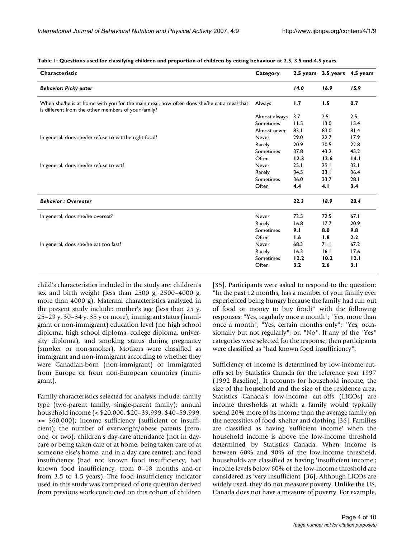| Characteristic                                                                                                                                  | Category         |      | 2.5 years 3.5 years 4.5 years |      |
|-------------------------------------------------------------------------------------------------------------------------------------------------|------------------|------|-------------------------------|------|
| <b>Behavior: Picky eater</b>                                                                                                                    |                  | 14.0 | 16.9                          | 15.9 |
| When she/he is at home with you for the main meal, how often does she/he eat a meal that<br>is different from the other members of your family? | Always           | 1.7  | 1.5                           | 0.7  |
|                                                                                                                                                 | Almost always    | 3.7  | 2.5                           | 2.5  |
|                                                                                                                                                 | <b>Sometimes</b> | 11.5 | 13.0                          | 15.4 |
|                                                                                                                                                 | Almost never     | 83.1 | 83.0                          | 81.4 |
| In general, does she/he refuse to eat the right food?                                                                                           | Never            | 29.0 | 22.7                          | 17.9 |
|                                                                                                                                                 | Rarely           | 20.9 | 20.5                          | 22.8 |
|                                                                                                                                                 | <b>Sometimes</b> | 37.8 | 43.2                          | 45.2 |
|                                                                                                                                                 | Often            | 12.3 | 13.6                          | 14.1 |
| In general, does she/he refuse to eat?                                                                                                          | Never            | 25.1 | 29.1                          | 32.1 |
|                                                                                                                                                 | Rarely           | 34.5 | 33.1                          | 36.4 |
|                                                                                                                                                 | <b>Sometimes</b> | 36.0 | 33.7                          | 28.1 |
|                                                                                                                                                 | Often            | 4.4  | 4.1                           | 3.4  |
| <b>Behavior: Overeater</b>                                                                                                                      |                  | 22.2 | 18.9                          | 23.4 |
| In general, does she/he overeat?                                                                                                                | Never            | 72.5 | 72.5                          | 67.1 |
|                                                                                                                                                 | Rarely           | 16.8 | 17.7                          | 20.9 |
|                                                                                                                                                 | <b>Sometimes</b> | 9.1  | 8.0                           | 9.8  |
|                                                                                                                                                 | Often            | 1.6  | 1.8                           | 2.2  |
| In general, does she/he eat too fast?                                                                                                           | Never            | 68.3 | 71.1                          | 67.2 |
|                                                                                                                                                 | Rarely           | 16.3 | 16.1                          | 17.6 |
|                                                                                                                                                 | Sometimes        | 12.2 | 10.2                          | 12.1 |
|                                                                                                                                                 | Often            | 3.2  | 2.6                           | 3.1  |

| Table 1: Questions used for classifying children and proportion of children by eating behaviour at 2.5, 3.5 and 4.5 years |  |  |  |
|---------------------------------------------------------------------------------------------------------------------------|--|--|--|
|---------------------------------------------------------------------------------------------------------------------------|--|--|--|

child's characteristics included in the study are: children's sex and birth weight (less than 2500 g, 2500–4000 g, more than 4000 g). Maternal characteristics analyzed in the present study include: mother's age (less than 25 y, 25–29 y, 30–34 y, 35 y or more), immigrant status (immigrant or non-immigrant) education level (no high school diploma, high school diploma, college diploma, university diploma), and smoking status during pregnancy (smoker or non-smoker). Mothers were classified as immigrant and non-immigrant according to whether they were Canadian-born (non-immigrant) or immigrated from Europe or from non-European countries (immigrant).

Family characteristics selected for analysis include: family type (two-parent family, single-parent family); annual household income (< \$20,000, \$20–39,999, \$40–59,999, >= \$60,000); income sufficiency (sufficient or insufficient); the number of overweight/obese parents (zero, one, or two); children's day-care attendance (not in daycare or being taken care of at home, being taken care of at someone else's home, and in a day care centre); and food insufficiency (had not known food insufficiency, had known food insufficiency, from 0–18 months and-or from 3.5 to 4.5 years). The food insufficiency indicator used in this study was comprised of one question derived from previous work conducted on this cohort of children

[35]. Participants were asked to respond to the question: "In the past 12 months, has a member of your family ever experienced being hungry because the family had run out of food or money to buy food?" with the following responses: "Yes, regularly once a month"; "Yes, more than once a month"; "Yes, certain months only"; "Yes, occasionally but not regularly"; or, "No". If any of the "Yes" categories were selected for the response, then participants were classified as "had known food insufficiency".

Sufficiency of income is determined by low-income cutoffs set by Statistics Canada for the reference year 1997 (1992 Baseline). It accounts for household income, the size of the household and the size of the residence area. Statistics Canada's low-income cut-offs (LICOs) are income thresholds at which a family would typically spend 20% more of its income than the average family on the necessities of food, shelter and clothing [36]. Families are classified as having 'sufficient income' when the household income is above the low-income threshold determined by Statistics Canada. When income is between 60% and 90% of the low-income threshold, households are classified as having 'insufficient income'; income levels below 60% of the low-income threshold are considered as 'very insufficient' [36]. Although LICOs are widely used, they do not measure poverty. Unlike the US, Canada does not have a measure of poverty. For example,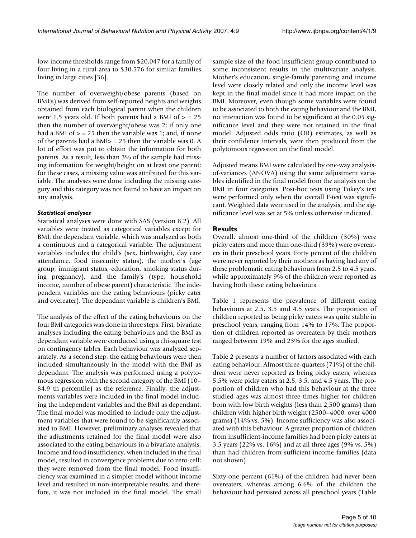low-income thresholds range from \$20,047 for a family of four living in a rural area to \$30,576 for similar families living in large cities [36].

The number of overweight/obese parents (based on BMI's) was derived from self-reported heights and weights obtained from each biological parent when the children were 1.5 years old. If both parents had a BMI of  $>$  = 25 then the number of overweight/obese was 2; if only one had a BMI of  $>$  = 25 then the variable was 1; and, if none of the parents had a BMI> = 25 then the variable was 0. A lot of effort was put to obtain the information for both parents. As a result, less than 3% of the sample had missing information for weight/height on at least one parent; for these cases, a missing value was attributed for this variable. The analyses were done including the missing category and this category was not found to have an impact on any analysis.

## *Statistical analyses*

Statistical analyses were done with SAS (version 8.2). All variables were treated as categorical variables except for BMI, the dependant variable, which was analyzed as both a continuous and a categorical variable. The adjustment variables includes the child's (sex, birthweight, day care attendance, food insecurity status), the mother's (age group, immigrant status, education, smoking status during pregnancy), and the family's (type, household income, number of obese parent) characteristic. The independent variables are the eating behaviours (picky eater and overeater). The dependant variable is children's BMI.

The analysis of the effect of the eating behaviours on the four BMI categories was done in three steps. First, bivariate analyses including the eating behaviours and the BMI as dependant variable were conducted using a chi-square test on contingency tables. Each behaviour was analyzed separately. As a second step, the eating behaviours were then included simultaneously in the model with the BMI as dependant. The analysis was performed using a polytomous regression with the second category of the BMI (10– 84.9 th percentile) as the reference. Finally, the adjustments variables were included in the final model including the independent variables and the BMI as dependant. The final model was modified to include only the adjustment variables that were found to be significantly associated to BMI. However, preliminary analyses revealed that the adjustments retained for the final model were also associated to the eating behaviours in a bivariate analysis. Income and food insufficiency, when included in the final model, resulted in convergence problems due to zero-cell; they were removed from the final model. Food insufficiency was examined in a simpler model without income level and resulted in non-interpretable results, and therefore, it was not included in the final model. The small

sample size of the food insufficient group contributed to some inconsistent results in the multivariate analysis. Mother's education, single-family parenting and income level were closely related and only the income level was kept in the final model since it had more impact on the BMI. Moreover, even though some variables were found to be associated to both the eating behaviour and the BMI, no interaction was found to be significant at the 0.05 significance level and they were not retained in the final model. Adjusted odds ratio (OR) estimates, as well as their confidence intervals, were then produced from the polytomous regression on the final model.

Adjusted means BMI were calculated by one-way analysisof-variances (ANOVA) using the same adjustment variables identified in the final model from the analysis on the BMI in four categories. Post-hoc tests using Tukey's test were performed only when the overall F-test was significant. Weighted data were used in the analysis, and the significance level was set at 5% unless otherwise indicated.

## **Results**

Overall, almost one-third of the children (30%) were picky eaters and more than one-third (39%) were overeaters in their preschool years. Forty percent of the children were never reported by their mothers as having had any of these problematic eating behaviours from 2.5 to 4.5 years, while approximately 9% of the children were reported as having both these eating behaviours.

Table 1 represents the prevalence of different eating behaviours at 2.5, 3.5 and 4.5 years. The proportion of children reported as being picky eaters was quite stable in preschool years, ranging from 14% to 17%. The proportion of children reported as overeaters by their mothers ranged between 19% and 23% for the ages studied.

Table 2 presents a number of factors associated with each eating behaviour. Almost three-quarters (71%) of the children were never reported as being picky eaters, whereas 5.5% were picky eaters at 2.5, 3.5, and 4.5 years. The proportion of children who had this behaviour at the three studied ages was almost three times higher for children born with low birth weights (less than 2,500 grams) than children with higher birth weight (2500–4000, over 4000 grams) (14% vs. 5%). Income sufficiency was also associated with this behaviour. A greater proportion of children from insufficient-income families had been picky eaters at 3.5 years (22% vs. 16%) and at all three ages (9% vs. 5%) than had children from sufficient-income families (data not shown).

Sixty-one percent (61%) of the children had never been overeaters, whereas among 6.6% of the children the behaviour had persisted across all preschool years (Table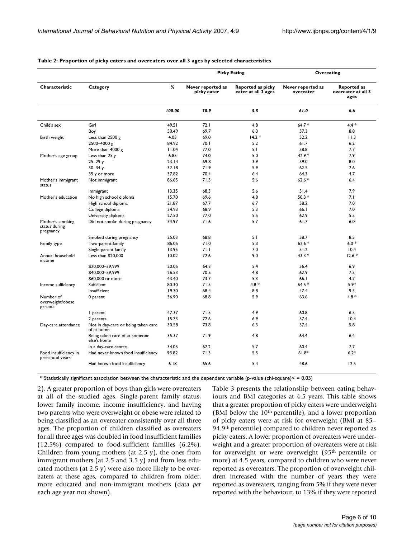|                                                | Category                                          |        | <b>Picky Eating</b>              |                                          | Overeating                     |                                                  |
|------------------------------------------------|---------------------------------------------------|--------|----------------------------------|------------------------------------------|--------------------------------|--------------------------------------------------|
| Characteristic                                 |                                                   | %      | Never reported as<br>picky eater | Reported as picky<br>eater at all 3 ages | Never reported as<br>overeater | <b>Reported as</b><br>overeater at all 3<br>ages |
|                                                |                                                   | 100.00 | 70.9                             | 5.5                                      | 61.0                           | 6.6                                              |
| Child's sex                                    | Girl                                              | 49.51  | 72.1                             | 4.8                                      | $64.7*$                        | $4.4 *$                                          |
|                                                | Boy                                               | 50.49  | 69.7                             | 6.3                                      | 57.3                           | 8.8                                              |
| Birth weight                                   | Less than $2500 g$                                | 4.03   | 69.0                             | $14.2*$                                  | 52.2                           | 11.3                                             |
|                                                | 2500-4000 g                                       | 84.92  | 70.1                             | 5.2                                      | 61.7                           | 6.2                                              |
|                                                | More than 4000 g                                  | 11.04  | 77.0                             | 5.1                                      | 58.8                           | 7.7                                              |
| Mother's age group                             | Less than 25 y                                    | 6.85   | 74.0                             | 5.0                                      | $42.9*$                        | 7.9                                              |
|                                                | $25 - 29y$                                        | 23.14  | 69.8                             | 3.9                                      | 59.0                           | 8.0                                              |
|                                                | $30 - 34y$                                        | 32.18  | 71.9                             | 5.9                                      | 62.5                           | 7.6                                              |
|                                                | 35 y or more                                      | 37.82  | 70.4                             | 6.4                                      | 64.3                           | 4.7                                              |
| Mother's immigrant<br>status                   | Not immigrant                                     | 86.65  | 71.5                             | 5.6                                      | $62.6*$                        | 6.4                                              |
|                                                | Immigrant                                         | 13.35  | 68.3                             | 5.6                                      | 51.4                           | 7.9                                              |
| Mother's education                             | No high school diploma                            | 15.70  | 69.6                             | 4.8                                      | $50.3*$                        | 7.1                                              |
|                                                | High school diploma                               | 21.87  | 67.7                             | 6.7                                      | 58.2                           | 7.0                                              |
|                                                | College diploma                                   | 34.93  | 68.9                             | 5.3                                      | 66.1                           | 7.0                                              |
|                                                | University diploma                                | 27.50  | 77.0                             | 5.5                                      | 62.9                           | 5.5                                              |
| Mother's smoking<br>status during<br>pregnancy | Did not smoke during pregnancy                    | 74.97  | 71.6                             | 5.7                                      | 61.7                           | 6.0                                              |
|                                                | Smoked during pregnancy                           | 25.03  | 68.8                             | 5.1                                      | 58.7                           | 8.5                                              |
| Family type                                    | Two-parent family                                 | 86.05  | 71.0                             | 5.3                                      | $62.6*$                        | $6.0 *$                                          |
|                                                | Single-parent family                              | 13.95  | 71.1                             | 7.0                                      | 51.2                           | 10.4                                             |
| Annual household<br>income                     | Less than \$20,000                                | 10.02  | 72.6                             | 9.0                                      | $43.3*$                        | $12.6*$                                          |
|                                                | \$20,000-39,999                                   | 20.05  | 64.3                             | 5.4                                      | 56.4                           | 6.9                                              |
|                                                | \$40,000-59,999                                   | 26.53  | 70.5                             | 4.8                                      | 62.9                           | 7.5                                              |
|                                                | \$60,000 or more                                  | 43.40  | 73.7                             | 5.3                                      | 66.1                           | 4.7                                              |
| Income sufficiency                             | Sufficient                                        | 80.30  | 71.5                             | $4.8 *$                                  | $64.5*$                        | $5.9*$                                           |
|                                                | Insufficient                                      | 19.70  | 68.4                             | 8.8                                      | 47.4                           | 9.5                                              |
| Number of<br>overweight/obese<br>parents       | 0 parent                                          | 36.90  | 68.8                             | 5.9                                      | 63.6                           | $4.8 *$                                          |
|                                                | I parent                                          | 47.37  | 71.5                             | 4.9                                      | 60.8                           | 6.5                                              |
|                                                | 2 parents                                         | 15.73  | 72.6                             | 6.9                                      | 57.4                           | 10.4                                             |
| Day-care attendance                            | Not in day-care or being taken care<br>of at home | 30.58  | 73.8                             | 6.3                                      | 57.4                           | 5.8                                              |
|                                                | Being taken care of at someone<br>else's home     | 35.37  | 71.9                             | 4.8                                      | 64.4                           | 6.4                                              |
|                                                | In a day-care centre                              | 34.05  | 67.2                             | 5.7                                      | 60.4                           | 7.7                                              |
| Food insufficiency in<br>preschool years       | Had never known food insufficiency                | 93.82  | 71.3                             | 5.5                                      | $61.8*$                        | $6.2*$                                           |
|                                                | Had known food insufficiency                      | 6.18   | 65.6                             | 5.4                                      | 48.6                           | 12.5                                             |

#### **Table 2: Proportion of picky eaters and overeaters over all 3 ages by selected characteristics**

\* Statistically significant association between the characteristic and the dependent variable (p-value (chi-square)< = 0.05)

2). A greater proportion of boys than girls were overeaters at all of the studied ages. Single-parent family status, lower family income, income insufficiency, and having two parents who were overweight or obese were related to being classified as an overeater consistently over all three ages. The proportion of children classified as overeaters for all three ages was doubled in food insufficient families (12.5%) compared to food-sufficient families (6.2%). Children from young mothers (at 2.5 y), the ones from immigrant mothers (at 2.5 and 3.5 y) and from less educated mothers (at 2.5 y) were also more likely to be overeaters at these ages, compared to children from older, more educated and non-immigrant mothers (data *per* each age year not shown).

Table 3 presents the relationship between eating behaviours and BMI categories at 4.5 years. This table shows that a greater proportion of picky eaters were underweight (BMI below the 10th percentile), and a lower proportion of picky eaters were at risk for overweight (BMI at 85– 94.9th percentile) compared to children never reported as picky eaters. A lower proportion of overeaters were underweight and a greater proportion of overeaters were at risk for overweight or were overweight (95th percentile or more) at 4.5 years, compared to children who were never reported as overeaters. The proportion of overweight children increased with the number of years they were reported as overeaters, ranging from 5% if they were never reported with the behaviour, to 13% if they were reported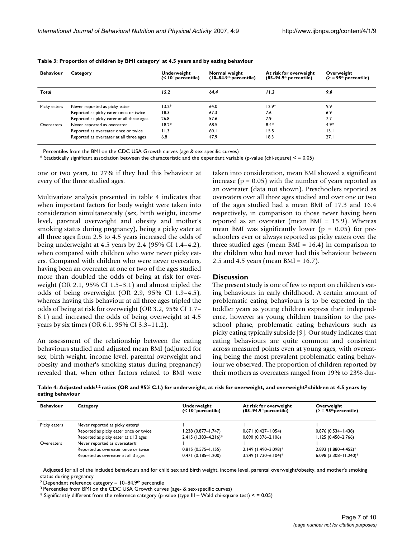| <b>Behaviour</b> | Category                                  | Underweight<br>$($ < $10^{\text{th}}$ percentile) | Normal weight<br>$(10-84.9th$ percentile) | At risk for overweight<br>$(85-94.9th percentile)$ | Overweight<br>$(>= 95th$ percentile) |
|------------------|-------------------------------------------|---------------------------------------------------|-------------------------------------------|----------------------------------------------------|--------------------------------------|
| Total            |                                           | 15.2                                              | 64.4                                      | 11.3                                               | 9.0                                  |
| Picky eaters     | Never reported as picky eater             | $13.2*$                                           | 64.0                                      | $12.9*$                                            | 9.9                                  |
|                  | Reported as picky eater once or twice     | 18.3                                              | 67.3                                      | 7.6                                                | 6.9                                  |
|                  | Reported as picky eater at all three ages | 26.8                                              | 57.6                                      | 7.9                                                | 7.7                                  |
| Overeaters       | Never reported as overeater               | $18.2*$                                           | 68.5                                      | $8.4*$                                             | $4.9*$                               |
|                  | Reported as overeater once or twice       | 11.3                                              | 60.1                                      | 15.5                                               | 13.1                                 |
|                  | Reported as overeater at all three ages   | 6.8                                               | 47.9                                      | 18.3                                               | 27.1                                 |

Table 3: Proportion of children by BMI category<sup>1</sup> at 4.5 years and by eating behaviour

1 Percentiles from the BMI on the CDC USA Growth curves (age & sex specific curves)

\* Statistically significant association between the characteristic and the dependant variable (p-value (chi-square) < = 0.05)

one or two years, to 27% if they had this behaviour at every of the three studied ages.

Multivariate analysis presented in table 4 indicates that when important factors for body weight were taken into consideration simultaneously (sex, birth weight, income level, parental overweight and obesity and mother's smoking status during pregnancy), being a picky eater at all three ages from 2.5 to 4.5 years increased the odds of being underweight at 4.5 years by 2.4 (95% CI 1.4–4.2), when compared with children who were never picky eaters. Compared with children who were never overeaters, having been an overeater at one or two of the ages studied more than doubled the odds of being at risk for overweight (OR 2.1, 95% CI 1.5–3.1) and almost tripled the odds of being overweight (OR 2.9, 95% CI 1.9–4.5), whereas having this behaviour at all three ages tripled the odds of being at risk for overweight (OR 3.2, 95% CI 1.7– 6.1) and increased the odds of being overweight at 4.5 years by six times (OR 6.1, 95% CI 3.3–11.2).

An assessment of the relationship between the eating behaviours studied and adjusted mean BMI (adjusted for sex, birth weight, income level, parental overweight and obesity and mother's smoking status during pregnancy) revealed that, when other factors related to BMI were taken into consideration, mean BMI showed a significant increase ( $p = 0.05$ ) with the number of years reported as an overeater (data not shown). Preschoolers reported as overeaters over all three ages studied and over one or two of the ages studied had a mean BMI of 17.3 and 16.4 respectively, in comparison to those never having been reported as an overeater (mean BMI = 15.9). Whereas mean BMI was significantly lower ( $p = 0.05$ ) for preschoolers ever or always reported as picky eaters over the three studied ages (mean  $BMI = 16.4$ ) in comparison to the children who had never had this behaviour between 2.5 and 4.5 years (mean BMI = 16.7).

#### **Discussion**

The present study is one of few to report on children's eating behaviours in early childhood. A certain amount of problematic eating behaviours is to be expected in the toddler years as young children express their independence, however as young children transition to the preschool phase, problematic eating behaviours such as picky eating typically subside [9]. Our study indicates that eating behaviours are quite common and consistent across measured points even at young ages, with overeating being the most prevalent problematic eating behaviour we observed. The proportion of children reported by their mothers as overeaters ranged from 19% to 23% dur-

Table 4: Adjusted odds<sup>1,2</sup> ratios (OR and 95% C.I.) for underweight, at risk for overweight, and overweight<sup>3</sup> children at 4.5 years by **eating behaviour**

| <b>Behaviour</b> | Category                              | Underweight<br>$($ < $10$ <sup>th</sup> percentile) | At risk for overweight<br>$(85-94.9th)$ percentile) | Overweight<br>$(>= 95th percentile)$ |
|------------------|---------------------------------------|-----------------------------------------------------|-----------------------------------------------------|--------------------------------------|
| Picky eaters     | Never reported as picky eater#        |                                                     |                                                     |                                      |
|                  | Reported as picky eater once or twice | 1.238 (0.877-1.747)                                 | $0.671(0.427 - 1.054)$                              | $0.876(0.534 - 1.438)$               |
|                  | Reported as picky eater at all 3 ages | $2.415$ (1.383-4.216) <sup>*</sup>                  | $0.890(0.376 - 2.106)$                              | 1.125 (0.458-2.766)                  |
| Overeaters       | Never reported as overeater#          |                                                     |                                                     |                                      |
|                  | Reported as overeater once or twice   | $0.815(0.575 - 1.155)$                              | 2.149 (1.490-3.098)*                                | 2.893 (1.880-4.452)*                 |
|                  | Reported as overeater at all 3 ages   | $0.471(0.185 - 1.200)$                              | 3.249 (1.730-6.104)*                                | 6.098 (3.308-11.240)*                |

<sup>1</sup> Adjusted for all of the included behaviours and for child sex and birth weight, income level, parental overweight/obesity, and mother's smoking status during pregnancy

 $2$  Dependant reference category =  $10-84.9$ <sup>th</sup> percentile

3 Percentiles from BMI on the CDC USA Growth curves (age- & sex-specific curves)

 $*$  Significantly different from the reference category (p-value (type III – Wald chi-square test)  $<$  = 0.05)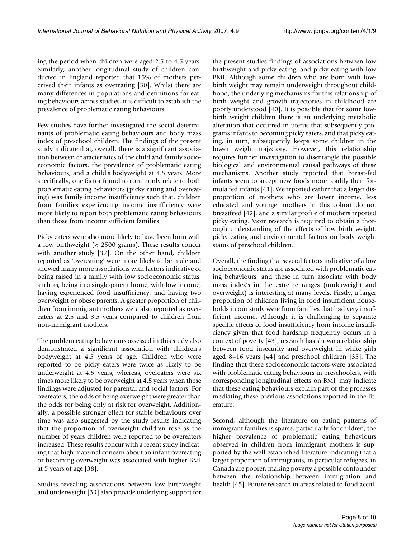ing the period when children were aged 2.5 to 4.5 years. Similarly, another longitudinal study of children conducted in England reported that 15% of mothers perceived their infants as overeating [30]. Whilst there are many differences in populations and definitions for eating behaviours across studies, it is difficult to establish the prevalence of problematic eating behaviours.

Few studies have further investigated the social determinants of problematic eating behaviours and body mass index of preschool children. The findings of the present study indicate that, overall, there is a significant association between characteristics of the child and family socioeconomic factors, the prevalence of problematic eating behaviours, and a child's bodyweight at 4.5 years. More specifically, one factor found to commonly relate to both problematic eating behaviours (picky eating and overeating) was family income insufficiency such that, children from families experiencing income insufficiency were more likely to report both problematic eating behaviours than those from income sufficient families.

Picky eaters were also more likely to have been born with a low birthweight (< 2500 grams). These results concur with another study [37]. On the other hand, children reported as 'overeating' were more likely to be male and showed many more associations with factors indicative of being raised in a family with low socioeconomic status, such as, being in a single-parent home, with low income, having experienced food insufficiency, and having two overweight or obese parents. A greater proportion of children from immigrant mothers were also reported as overeaters at 2.5 and 3.5 years compared to children from non-immigrant mothers.

The problem eating behaviours assessed in this study also demonstrated a significant association with children's bodyweight at 4.5 years of age. Children who were reported to be picky eaters were twice as likely to be underweight at 4.5 years, whereas, overeaters were six times more likely to be overweight at 4.5 years when these findings were adjusted for parental and social factors. For overeaters, the odds of being overweight were greater than the odds for being only at risk for overweight. Additionally, a possible stronger effect for stable behaviours over time was also suggested by the study results indicating that the proportion of overweight children rose as the number of years children were reported to be overeaters increased. These results concur with a recent study indicating that high maternal concern about an infant overeating or becoming overweight was associated with higher BMI at 5 years of age [38].

Studies revealing associations between low birthweight and underweight [39] also provide underlying support for the present studies findings of associations between low birthweight and picky eating, and picky eating with low BMI. Although some children who are born with lowbirth weight may remain underweight throughout childhood, the underlying mechanisms for this relationship of birth weight and growth trajectories in childhood are poorly understood [40]. It is possible that for some lowbirth weight children there is an underlying metabolic alteration that occurred in uterus that subsequently programs infants to becoming picky eaters, and that picky eating, in turn, subsequently keeps some children in the lower weight trajectory. However, this relationship requires further investigation to disentangle the possible biological and environmental causal pathways of these mechanisms. Another study reported that breast-fed infants seem to accept new foods more readily than formula fed infants [41]. We reported earlier that a larger disproportion of mothers who are lower income, less educated and younger mothers in this cohort do not breastfeed [42], and a similar profile of mothers reported picky eating. More research is required to obtain a thorough understanding of the effects of low birth weight, picky eating and environmental factors on body weight status of preschool children.

Overall, the finding that several factors indicative of a low socioeconomic status are associated with problematic eating behaviours, and these in turn associate with body mass index's in the extreme ranges (underweight and overweight) is interesting at many levels. Firstly, a larger proportion of children living in food insufficient households in our study were from families that had very insufficient income. Although it is challenging to separate specific effects of food insufficiency from income insufficiency given that food hardship frequently occurs in a context of poverty [43], research has shown a relationship between food insecurity and overweight in white girls aged 8–16 years [44] and preschool children [35]. The finding that these socioeconomic factors were associated with problematic eating behaviours in preschoolers, with corresponding longitudinal effects on BMI, may indicate that these eating behaviours explain part of the processes mediating these previous associations reported in the literature.

Second, although the literature on eating patterns of immigrant families is sparse, particularly for children, the higher prevalence of problematic eating behaviours observed in children from immigrant mothers is supported by the well established literature indicating that a larger proportion of immigrants, in particular refugees, in Canada are poorer, making poverty a possible confounder between the relationship between immigration and health [45]. Future research in areas related to food accul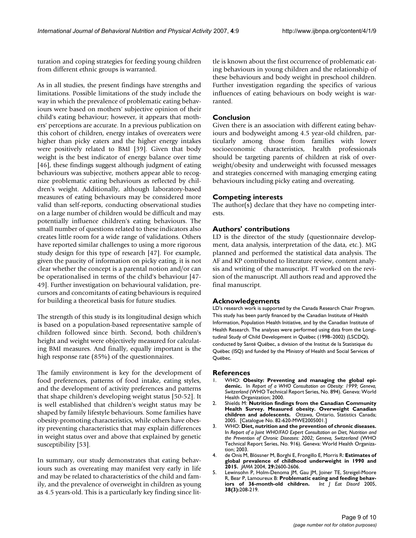turation and coping strategies for feeding young children from different ethnic groups is warranted.

As in all studies, the present findings have strengths and limitations. Possible limitations of the study include the way in which the prevalence of problematic eating behaviours were based on mothers' subjective opinion of their child's eating behaviour; however, it appears that mothers' perceptions are accurate. In a previous publication on this cohort of children, energy intakes of overeaters were higher than picky eaters and the higher energy intakes were positively related to BMI [39]. Given that body weight is the best indicator of energy balance over time [46], these findings suggest although judgment of eating behaviours was subjective, mothers appear able to recognize problematic eating behaviours as reflected by children's weight. Additionally, although laboratory-based measures of eating behaviours may be considered more valid than self-reports, conducting observational studies on a large number of children would be difficult and may potentially influence children's eating behaviours. The small number of questions related to these indicators also creates little room for a wide range of validations. Others have reported similar challenges to using a more rigorous study design for this type of research [47]. For example, given the paucity of information on picky eating, it is not clear whether the concept is a parental notion and/or can be operationalised in terms of the child's behaviour [47- 49]. Further investigation on behavioural validation, precursors and concomitants of eating behaviours is required for building a theoretical basis for future studies.

The strength of this study is its longitudinal design which is based on a population-based representative sample of children followed since birth. Second, both children's height and weight were objectively measured for calculating BMI measures. And finally, equally important is the high response rate (85%) of the questionnaires.

The family environment is key for the development of food preferences, patterns of food intake, eating styles, and the development of activity preferences and patterns that shape children's developing weight status [50-52]. It is well established that children's weight status may be shaped by family lifestyle behaviours. Some families have obesity-promoting characteristics, while others have obesity preventing characteristics that may explain differences in weight status over and above that explained by genetic susceptibility [53].

In summary, our study demonstrates that eating behaviours such as overeating may manifest very early in life and may be related to characteristics of the child and family, and the prevalence of overweight in children as young as 4.5 years-old. This is a particularly key finding since little is known about the first occurrence of problematic eating behaviours in young children and the relationship of these behaviours and body weight in preschool children. Further investigation regarding the specifics of various influences of eating behaviours on body weight is warranted.

## **Conclusion**

Given there is an association with different eating behaviours and bodyweight among 4.5 year-old children, particularly among those from families with lower socioeconomic characteristics, health professionals should be targeting parents of children at risk of overweight/obesity and underweight with focussed messages and strategies concerned with managing emerging eating behaviours including picky eating and overeating.

### **Competing interests**

The author(s) declare that they have no competing interests.

## **Authors' contributions**

LD is the director of the study (questionnaire development, data analysis, interpretation of the data, etc.). MG planned and performed the statistical data analysis. The AF and KP contributed to literature review, content analysis and writing of the manuscript. FT worked on the revision of the manuscript. All authors read and approved the final manuscript.

### **Acknowledgements**

LD's research work is supported by the Canada Research Chair Program. This study has been partly financed by the Canadian Institute of Health Information, Population Health Initiative, and by the Canadian Institute of Health Research. The analyses were performed using data from the Longitudinal Study of Child Development in Québec (1998–2002) (LSCDQ), conducted by Santé Québec, a division of the Institut de la Statistique du Québec (ISQ) and funded by the Ministry of Health and Social Services of Québec.

#### **References**

- 1. WHO: **Obesity: Preventing and managing the global epidemic.** In *Report of a WHO Consultation on Obesity: 1999; Geneva, Switzerland* (WHO Technical Report Series, No. 894). Geneva: World Health Organization; 2000.
- 2. Shields M: **Nutrition findings from the Canadian Community Health Survey. Measured obesity. Overweight Canadian children and adolescents.** Ottawa, Ontario, Statistics Canada; 2005. [Catalogue No. 82-620-MWE2005001.]
- 3. WHO: **Diet, nutrition and the prevention of chronic diseases.** In *Report of a Joint WHO/FAO Expert Consultation on Diet, Nutrition and the Prevention of Chronic Diseases: 2002; Geneva, Switzerland* (WHO Technical Report Series, No. 916). Geneva: World Health Organization; 2003.
- 4. de Onis M, Blössner M, Borghi E, Frongillo E, Morris R: **Estimates of global prevalence of childhood underweight in 1990 and 2015.** *JAMA* 2004, **29:**2600-2606.
- 5. Lewinsohn P, Holm-Denoma JM, Gau JM, Joiner TE, Streigel-Moore R, Bear P, Lamoureux B: **[Problematic eating and feeding behav](http://www.ncbi.nlm.nih.gov/entrez/query.fcgi?cmd=Retrieve&db=PubMed&dopt=Abstract&list_uids=16211627)[iors of 36-month-old children.](http://www.ncbi.nlm.nih.gov/entrez/query.fcgi?cmd=Retrieve&db=PubMed&dopt=Abstract&list_uids=16211627)** *Int J Eat Disord* 2005, **38(3):**208-219.